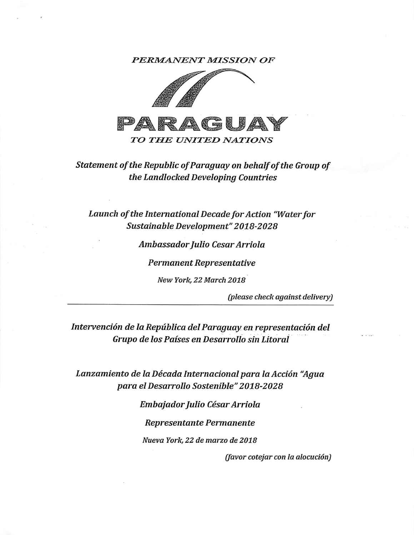PERMANENT MISSION OF



## Statement of the Republic of Paraguay on behalf of the Group of the Landlocked Developing Countries

Launch of the International Decade for Action "Water for Sustainable Development"2018-2028

Ambassador Julio Cesar Arriola

Permanent Representative

New York, 22 March 2018

(please check against delivery)

Intervención de la República del Paraguay en representación del Grupo de los Países en Desarrollo sin Litoral

Lanzamiento de la Década Internacional para la Acción "Agua para elDesarrollo Sostenible"2018-2028

Embajador Julio César Arriola

Representante Permanente

Nueva York, 22 de marzo de 2018

(favor cotejar con la alocución)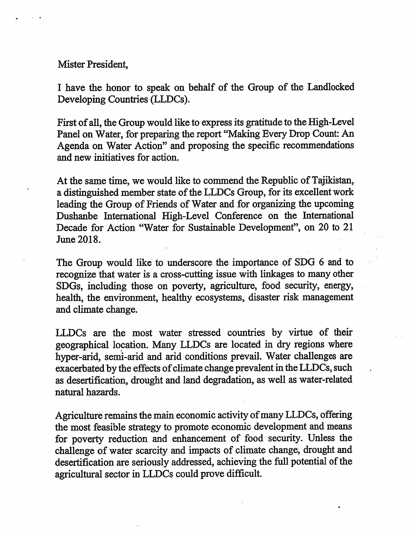Mister President,

I have the honor to speak on behalf of the Group of the Landlocked Developing Countries (LLDCs).

First of all, the Group would like to express its gratitude to the High-Level Panel on Water, for preparing the report "Making Every Drop Count: An Agenda on Water Action" and proposing the specific recommendations and new initiatives for action.

At the same time, we would like to commend the Republic of Tajikistan, a distinguished member state of the LLDCs Group, for its excellent work leading the Group of Friends of Water and for organizing the upcoming Dushanbe International High-Level Conference on the International Decade for Action "Water for Sustainable Development", on 20 to 21 June 2018.

The Group would like to underscore the importance of SDG 6 and to recognize that water is a cross-cutting issue with linkages to many other SDGs, including those on poverty, agriculture, food security, energy, health, the environment, healthy ecosystems, disaster risk management and climate change.

LLDCs are the most water stressed countries by virtue of their geographical location. Many LLDCs are located in dry regions where hyper-arid, semi-arid and arid conditions prevail. Water challenges are exacerbated by the effects of climate change prevalent in the LLDCs, such as desertification, drought and land degradation, as well as water-related natural hazards.

Agriculture remains the main economic activity of many LLDCs, offering the most feasible strategy to promote economic development and means for poverty reduction and enhancement of food security. Unless the challenge of water scarcity and impacts of climate change, drought and desertification are seriously addressed, achieving the full potential of the agricultural sector in LLDCs could prove difficult.